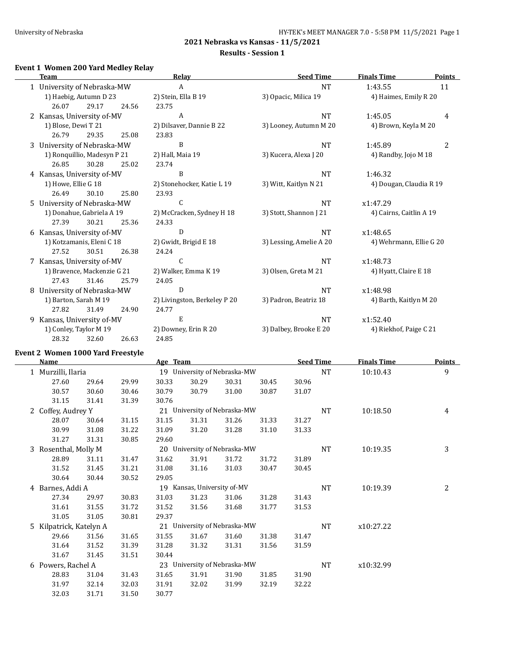#### **Results - Session 1**

## **Event 1 Women 200 Yard Medley Relay**

|    | <b>Team</b>                 |       |       | Relay                        | <b>Seed Time</b>        | <b>Finals Time</b>      | <b>Points</b>  |
|----|-----------------------------|-------|-------|------------------------------|-------------------------|-------------------------|----------------|
|    | 1 University of Nebraska-MW |       |       | A                            | <b>NT</b>               | 1:43.55                 | 11             |
|    | 1) Haebig, Autumn D 23      |       |       | 2) Stein, Ella B 19          | 3) Opacic, Milica 19    | 4) Haimes, Emily R 20   |                |
|    | 26.07                       | 29.17 | 24.56 | 23.75                        |                         |                         |                |
|    | 2 Kansas, University of-MV  |       |       | A                            | <b>NT</b>               | 1:45.05                 | 4              |
|    | 1) Blose, Dewi T 21         |       |       | 2) Dilsaver, Dannie B 22     | 3) Looney, Autumn M 20  | 4) Brown, Keyla M 20    |                |
|    | 26.79                       | 29.35 | 25.08 | 23.83                        |                         |                         |                |
|    | 3 University of Nebraska-MW |       |       | B                            | <b>NT</b>               | 1:45.89                 | $\overline{c}$ |
|    | 1) Ronquillio, Madesyn P 21 |       |       | 2) Hall, Maia 19             | 3) Kucera, Alexa J 20   | 4) Randby, Jojo M 18    |                |
|    | 26.85                       | 30.28 | 25.02 | 23.74                        |                         |                         |                |
|    | 4 Kansas, University of-MV  |       |       | B                            | <b>NT</b>               | 1:46.32                 |                |
|    | 1) Howe, Ellie G 18         |       |       | 2) Stonehocker, Katie L 19   | 3) Witt, Kaitlyn N 21   | 4) Dougan, Claudia R 19 |                |
|    | 26.49                       | 30.10 | 25.80 | 23.93                        |                         |                         |                |
|    | 5 University of Nebraska-MW |       |       | $\mathsf{C}$                 | <b>NT</b>               | x1:47.29                |                |
|    | 1) Donahue, Gabriela A 19   |       |       | 2) McCracken, Sydney H 18    | 3) Stott, Shannon J 21  | 4) Cairns, Caitlin A 19 |                |
|    | 27.39                       | 30.21 | 25.36 | 24.33                        |                         |                         |                |
|    | 6 Kansas, University of-MV  |       |       | D                            | <b>NT</b>               | x1:48.65                |                |
|    | 1) Kotzamanis, Eleni C 18   |       |       | 2) Gwidt, Brigid E 18        | 3) Lessing, Amelie A 20 | 4) Wehrmann, Ellie G 20 |                |
|    | 27.52                       | 30.51 | 26.38 | 24.24                        |                         |                         |                |
|    | 7 Kansas, University of-MV  |       |       | $\mathsf{C}$                 | <b>NT</b>               | x1:48.73                |                |
|    | 1) Bravence, Mackenzie G 21 |       |       | 2) Walker, Emma K 19         | 3) Olsen, Greta M 21    | 4) Hyatt, Claire E 18   |                |
|    | 27.43                       | 31.46 | 25.79 | 24.05                        |                         |                         |                |
| 8. | University of Nebraska-MW   |       |       | D                            | <b>NT</b>               | x1:48.98                |                |
|    | 1) Barton, Sarah M 19       |       |       | 2) Livingston, Berkeley P 20 | 3) Padron, Beatriz 18   | 4) Barth, Kaitlyn M 20  |                |
|    | 27.82                       | 31.49 | 24.90 | 24.77                        |                         |                         |                |
| 9  | Kansas, University of-MV    |       |       | E                            | <b>NT</b>               | x1:52.40                |                |
|    | 1) Conley, Taylor M 19      |       |       | 2) Downey, Erin R 20         | 3) Dalbey, Brooke E 20  | 4) Riekhof, Paige C 21  |                |
|    | 28.32                       | 32.60 | 26.63 | 24.85                        |                         |                         |                |

## **Event 2 Women 1000 Yard Freestyle**

|   | <b>Name</b>             |       |       | Age Team |                             |                              |       | <b>Seed Time</b> |           | <b>Finals Time</b> | <b>Points</b> |
|---|-------------------------|-------|-------|----------|-----------------------------|------------------------------|-------|------------------|-----------|--------------------|---------------|
|   | 1 Murzilli, Ilaria      |       |       |          |                             | 19 University of Nebraska-MW |       |                  | <b>NT</b> | 10:10.43           | 9             |
|   | 27.60                   | 29.64 | 29.99 | 30.33    | 30.29                       | 30.31                        | 30.45 | 30.96            |           |                    |               |
|   | 30.57                   | 30.60 | 30.46 | 30.79    | 30.79                       | 31.00                        | 30.87 | 31.07            |           |                    |               |
|   | 31.15                   | 31.41 | 31.39 | 30.76    |                             |                              |       |                  |           |                    |               |
| 2 | Coffey, Audrey Y        |       |       |          |                             | 21 University of Nebraska-MW |       |                  | NT        | 10:18.50           | 4             |
|   | 28.07                   | 30.64 | 31.15 | 31.15    | 31.31                       | 31.26                        | 31.33 | 31.27            |           |                    |               |
|   | 30.99                   | 31.08 | 31.22 | 31.09    | 31.20                       | 31.28                        | 31.10 | 31.33            |           |                    |               |
|   | 31.27                   | 31.31 | 30.85 | 29.60    |                             |                              |       |                  |           |                    |               |
| 3 | Rosenthal, Molly M      |       |       |          |                             | 20 University of Nebraska-MW |       |                  | NT        | 10:19.35           | 3             |
|   | 28.89                   | 31.11 | 31.47 | 31.62    | 31.91                       | 31.72                        | 31.72 | 31.89            |           |                    |               |
|   | 31.52                   | 31.45 | 31.21 | 31.08    | 31.16                       | 31.03                        | 30.47 | 30.45            |           |                    |               |
|   | 30.64                   | 30.44 | 30.52 | 29.05    |                             |                              |       |                  |           |                    |               |
|   | 4 Barnes, Addi A        |       |       |          | 19 Kansas, University of-MV |                              |       |                  | NT        | 10:19.39           | 2             |
|   | 27.34                   | 29.97 | 30.83 | 31.03    | 31.23                       | 31.06                        | 31.28 | 31.43            |           |                    |               |
|   | 31.61                   | 31.55 | 31.72 | 31.52    | 31.56                       | 31.68                        | 31.77 | 31.53            |           |                    |               |
|   | 31.05                   | 31.05 | 30.81 | 29.37    |                             |                              |       |                  |           |                    |               |
|   | 5 Kilpatrick, Katelyn A |       |       | 21       |                             | University of Nebraska-MW    |       |                  | NT        | x10:27.22          |               |
|   | 29.66                   | 31.56 | 31.65 | 31.55    | 31.67                       | 31.60                        | 31.38 | 31.47            |           |                    |               |
|   | 31.64                   | 31.52 | 31.39 | 31.28    | 31.32                       | 31.31                        | 31.56 | 31.59            |           |                    |               |
|   | 31.67                   | 31.45 | 31.51 | 30.44    |                             |                              |       |                  |           |                    |               |
|   | 6 Powers, Rachel A      |       |       |          |                             | 23 University of Nebraska-MW |       |                  | NT        | x10:32.99          |               |
|   | 28.83                   | 31.04 | 31.43 | 31.65    | 31.91                       | 31.90                        | 31.85 | 31.90            |           |                    |               |
|   | 31.97                   | 32.14 | 32.03 | 31.91    | 32.02                       | 31.99                        | 32.19 | 32.22            |           |                    |               |
|   | 32.03                   | 31.71 | 31.50 | 30.77    |                             |                              |       |                  |           |                    |               |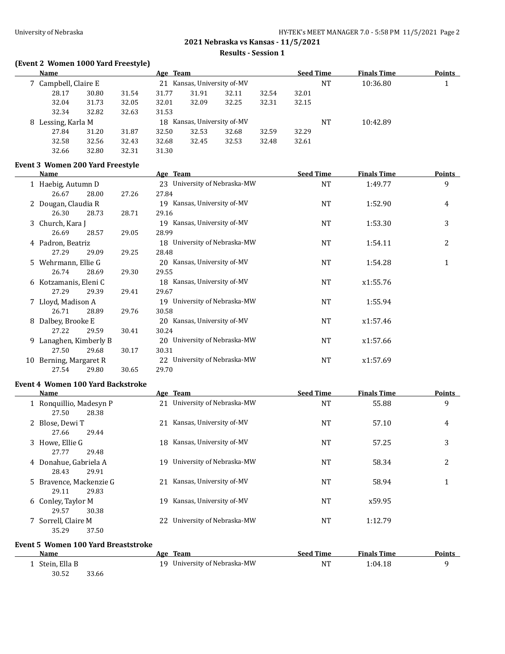**Results - Session 1**

## **(Event 2 Women 1000 Yard Freestyle)**

| <b>Name</b>          |       |       | Age Team |                          |       |       | <b>Seed Time</b> |    | <b>Finals Time</b> | <b>Points</b> |
|----------------------|-------|-------|----------|--------------------------|-------|-------|------------------|----|--------------------|---------------|
| 7 Campbell, Claire E |       |       | $21 -$   | Kansas, University of-MV |       |       |                  | NT | 10:36.80           |               |
| 28.17                | 30.80 | 31.54 | 31.77    | 31.91                    | 32.11 | 32.54 | 32.01            |    |                    |               |
| 32.04                | 31.73 | 32.05 | 32.01    | 32.09                    | 32.25 | 32.31 | 32.15            |    |                    |               |
| 32.34                | 32.82 | 32.63 | 31.53    |                          |       |       |                  |    |                    |               |
| 8 Lessing, Karla M   |       |       | 18.      | Kansas, University of-MV |       |       |                  | NT | 10:42.89           |               |
| 27.84                | 31.20 | 31.87 | 32.50    | 32.53                    | 32.68 | 32.59 | 32.29            |    |                    |               |
| 32.58                | 32.56 | 32.43 | 32.68    | 32.45                    | 32.53 | 32.48 | 32.61            |    |                    |               |
| 32.66                | 32.80 | 32.31 | 31.30    |                          |       |       |                  |    |                    |               |

### **Event 3 Women 200 Yard Freestyle**

|    | Name                  |       |       | Age Team                        | <b>Seed Time</b> | <b>Finals Time</b> | <u>Points</u> |
|----|-----------------------|-------|-------|---------------------------------|------------------|--------------------|---------------|
|    | 1 Haebig, Autumn D    |       |       | 23 University of Nebraska-MW    | <b>NT</b>        | 1:49.77            | 9             |
|    | 26.67                 | 28.00 | 27.26 | 27.84                           |                  |                    |               |
|    | 2 Dougan, Claudia R   |       |       | Kansas, University of-MV<br>19  | <b>NT</b>        | 1:52.90            | 4             |
|    | 26.30                 | 28.73 | 28.71 | 29.16                           |                  |                    |               |
|    | 3 Church, Kara J      |       |       | 19 Kansas, University of-MV     | <b>NT</b>        | 1:53.30            | 3             |
|    | 26.69                 | 28.57 | 29.05 | 28.99                           |                  |                    |               |
|    | 4 Padron, Beatriz     |       |       | University of Nebraska-MW<br>18 | NT               | 1:54.11            | 2             |
|    | 27.29                 | 29.09 | 29.25 | 28.48                           |                  |                    |               |
|    | 5 Wehrmann, Ellie G   |       |       | 20 Kansas, University of-MV     | NT               | 1:54.28            | 1             |
|    | 26.74                 | 28.69 | 29.30 | 29.55                           |                  |                    |               |
|    | 6 Kotzamanis, Eleni C |       |       | 18 Kansas, University of-MV     | <b>NT</b>        | x1:55.76           |               |
|    | 27.29                 | 29.39 | 29.41 | 29.67                           |                  |                    |               |
|    | 7 Lloyd, Madison A    |       |       | University of Nebraska-MW<br>19 | <b>NT</b>        | 1:55.94            |               |
|    | 26.71                 | 28.89 | 29.76 | 30.58                           |                  |                    |               |
| 8  | Dalbey, Brooke E      |       |       | 20 Kansas, University of-MV     | <b>NT</b>        | x1:57.46           |               |
|    | 27.22                 | 29.59 | 30.41 | 30.24                           |                  |                    |               |
| 9. | Lanaghen, Kimberly B  |       |       | University of Nebraska-MW<br>20 | NT               | x1:57.66           |               |
|    | 27.50                 | 29.68 | 30.17 | 30.31                           |                  |                    |               |
| 10 | Berning, Margaret R   |       |       | University of Nebraska-MW<br>22 | <b>NT</b>        | x1:57.69           |               |
|    | 27.54                 | 29.80 | 30.65 | 29.70                           |                  |                    |               |

### **Event 4 Women 100 Yard Backstroke**

| Name                                      |              | Age Team                     | <b>Seed Time</b> | <b>Finals Time</b> | <b>Points</b> |
|-------------------------------------------|--------------|------------------------------|------------------|--------------------|---------------|
| 1 Ronguillio, Madesyn P<br>27.50<br>28.38 |              | 21 University of Nebraska-MW | NT               | 55.88              | 9             |
| 2 Blose, Dewi T<br>27.66<br>29.44         | 21           | Kansas, University of-MV     | NT               | 57.10              | 4             |
| 3 Howe, Ellie G<br>27.77<br>29.48         | 18           | Kansas, University of-MV     | NT               | 57.25              | 3             |
| 4 Donahue, Gabriela A<br>29.91<br>28.43   |              | 19 University of Nebraska-MW | NT               | 58.34              | 2             |
| 5 Bravence, Mackenzie G<br>29.83<br>29.11 |              | 21 Kansas, University of-MV  | NT               | 58.94              | 1             |
| 6 Conley, Taylor M<br>29.57<br>30.38      | 19.          | Kansas, University of-MV     | NT               | x59.95             |               |
| 7 Sorrell, Claire M<br>35.29<br>37.50     | $22^{\circ}$ | University of Nebraska-MW    | NT               | 1:12.79            |               |

### **Event 5 Women 100 Yard Breaststroke**

| Name          | Age   | Team                         | <b>Seed Time</b> | <b>Finals Time</b> | <b>Points</b> |
|---------------|-------|------------------------------|------------------|--------------------|---------------|
| Stein, Ella B |       | 19 University of Nebraska-MW | NT               | 1:04.18            |               |
| 30.52         | 33.66 |                              |                  |                    |               |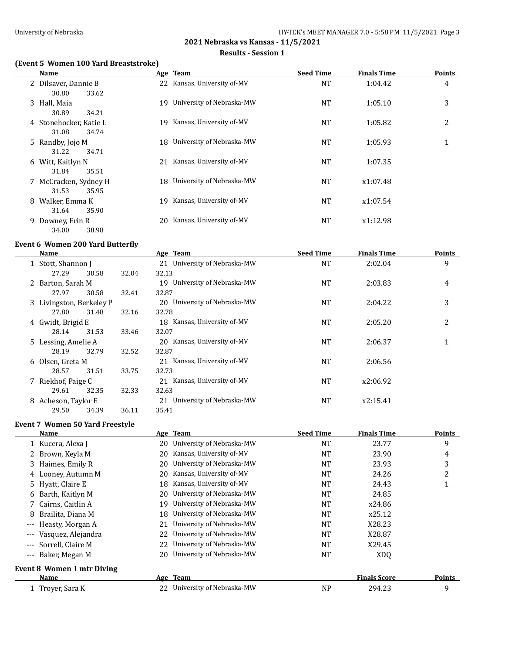#### **Results - Session 1**

## **(Event 5 Women 100 Yard Breaststroke)**

|    | Name                                     |     | Age Team                     | <b>Seed Time</b> | <b>Finals Time</b> | <b>Points</b> |
|----|------------------------------------------|-----|------------------------------|------------------|--------------------|---------------|
|    | 2 Dilsaver, Dannie B<br>30.80<br>33.62   |     | 22 Kansas, University of-MV  | <b>NT</b>        | 1:04.42            | 4             |
|    | 3 Hall, Maia<br>30.89<br>34.21           | 19  | University of Nebraska-MW    | <b>NT</b>        | 1:05.10            | 3             |
|    | 4 Stonehocker, Katie L<br>31.08<br>34.74 | 19. | Kansas, University of-MV     | NT               | 1:05.82            | 2             |
|    | 5 Randby, Jojo M<br>31.22<br>34.71       |     | 18 University of Nebraska-MW | <b>NT</b>        | 1:05.93            | 1             |
| 6  | Witt, Kaitlyn N<br>31.84<br>35.51        | 21  | Kansas, University of-MV     | <b>NT</b>        | 1:07.35            |               |
|    | 7 McCracken, Sydney H<br>31.53<br>35.95  |     | 18 University of Nebraska-MW | <b>NT</b>        | x1:07.48           |               |
| 8  | Walker, Emma K<br>31.64<br>35.90         | 19  | Kansas, University of-MV     | NT               | x1:07.54           |               |
| 9. | Downey, Erin R<br>38.98<br>34.00         | 20  | Kansas, University of-MV     | NT               | x1:12.98           |               |

#### **Event 6 Women 200 Yard Butterfly**

|    | Name                     |       |       | Age Team                        | <b>Seed Time</b> | Finals Time | <b>Points</b> |
|----|--------------------------|-------|-------|---------------------------------|------------------|-------------|---------------|
|    | 1 Stott, Shannon J       |       |       | 21 University of Nebraska-MW    | <b>NT</b>        | 2:02.04     | 9             |
|    | 27.29                    | 30.58 | 32.04 | 32.13                           |                  |             |               |
|    | 2 Barton, Sarah M        |       |       | 19 University of Nebraska-MW    | <b>NT</b>        | 2:03.83     | 4             |
|    | 27.97                    | 30.58 | 32.41 | 32.87                           |                  |             |               |
|    | 3 Livingston, Berkeley P |       |       | 20 University of Nebraska-MW    | <b>NT</b>        | 2:04.22     | 3             |
|    | 27.80                    | 31.48 | 32.16 | 32.78                           |                  |             |               |
|    | 4 Gwidt, Brigid E        |       |       | 18 Kansas, University of-MV     | <b>NT</b>        | 2:05.20     | 2             |
|    | 28.14                    | 31.53 | 33.46 | 32.07                           |                  |             |               |
|    | 5 Lessing, Amelie A      |       |       | 20 Kansas, University of-MV     | NT               | 2:06.37     |               |
|    | 28.19                    | 32.79 | 32.52 | 32.87                           |                  |             |               |
|    | 6 Olsen, Greta M         |       |       | 21 Kansas, University of-MV     | NT               | 2:06.56     |               |
|    | 28.57                    | 31.51 | 33.75 | 32.73                           |                  |             |               |
|    | 7 Riekhof, Paige C       |       |       | 21 Kansas, University of-MV     | <b>NT</b>        | x2:06.92    |               |
|    | 29.61                    | 32.35 | 32.33 | 32.63                           |                  |             |               |
| 8. | Acheson, Taylor E        |       |       | University of Nebraska-MW<br>21 | NT               | x2:15.41    |               |
|    | 29.50                    | 34.39 | 36.11 | 35.41                           |                  |             |               |

#### **Event 7 Women 50 Yard Freestyle**

|                     | Name                              |     | Age Team                  | <b>Seed Time</b> | <b>Finals Time</b>  | <b>Points</b> |
|---------------------|-----------------------------------|-----|---------------------------|------------------|---------------------|---------------|
|                     | 1 Kucera, Alexa J                 | 20  | University of Nebraska-MW | <b>NT</b>        | 23.77               | 9             |
|                     | 2 Brown, Keyla M                  | 20  | Kansas, University of-MV  | <b>NT</b>        | 23.90               | 4             |
|                     | 3 Haimes, Emily R                 | 20  | University of Nebraska-MW | <b>NT</b>        | 23.93               | 3             |
|                     | 4 Looney, Autumn M                | 20  | Kansas, University of-MV  | <b>NT</b>        | 24.26               | 2             |
|                     | 5 Hyatt, Claire E                 | 18  | Kansas, University of-MV  | NT               | 24.43               |               |
|                     | 6 Barth, Kaitlyn M                | 20. | University of Nebraska-MW | <b>NT</b>        | 24.85               |               |
|                     | 7 Cairns, Caitlin A               | 19  | University of Nebraska-MW | <b>NT</b>        | x24.86              |               |
| 8                   | Brailita, Diana M                 | 18  | University of Nebraska-MW | <b>NT</b>        | x25.12              |               |
| $\qquad \qquad - -$ | Heasty, Morgan A                  | 21  | University of Nebraska-MW | NT               | X28.23              |               |
|                     | Vasquez, Alejandra                | 22  | University of Nebraska-MW | <b>NT</b>        | X28.87              |               |
|                     | --- Sorrell, Claire M             | 22  | University of Nebraska-MW | <b>NT</b>        | X29.45              |               |
|                     | --- Baker, Megan M                | 20  | University of Nebraska-MW | NT               | XDO                 |               |
|                     | <b>Event 8 Women 1 mtr Diving</b> |     |                           |                  |                     |               |
|                     | Name                              |     | Age Team                  |                  | <b>Finals Score</b> | <b>Points</b> |
|                     | 1 Trover, Sara K                  | 22  | University of Nebraska-MW | NP               | 294.23              | 9             |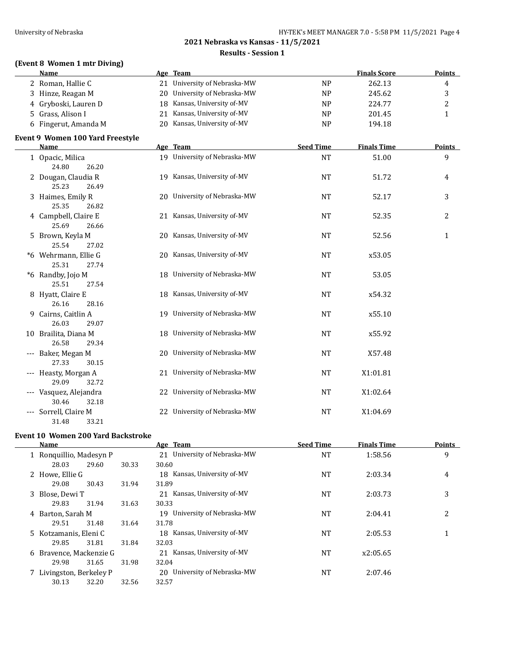# **2021 Nebraska vs Kansas - 11/5/2021 Results - Session 1**

## **(Event 8 Women 1 mtr Diving)**

| Name                 | Age Team                     |                | <b>Finals Score</b> | <b>Points</b> |
|----------------------|------------------------------|----------------|---------------------|---------------|
| 2 Roman, Hallie C    | 21 University of Nebraska-MW | N <sub>P</sub> | 262.13              | 4             |
| 3 Hinze, Reagan M    | 20 University of Nebraska-MW | N <sub>P</sub> | 245.62              |               |
| 4 Gryboski, Lauren D | 18 Kansas, University of-MV  | N <sub>P</sub> | 224.77              |               |
| 5 Grass, Alison I    | Kansas, University of-MV     | N <sub>P</sub> | 201.45              |               |
| 6 Fingerut, Amanda M | 20 Kansas, University of-MV  | <b>NP</b>      | 194.18              |               |

## **Event 9 Women 100 Yard Freestyle**

|       | <b>Name</b>                                  |    | Age Team                     | <b>Seed Time</b> | <b>Finals Time</b> | <b>Points</b>  |
|-------|----------------------------------------------|----|------------------------------|------------------|--------------------|----------------|
|       | 1 Opacic, Milica<br>24.80<br>26.20           |    | 19 University of Nebraska-MW | <b>NT</b>        | 51.00              | 9              |
|       | 2 Dougan, Claudia R<br>25.23<br>26.49        |    | 19 Kansas, University of-MV  | <b>NT</b>        | 51.72              | 4              |
|       | 3 Haimes, Emily R<br>25.35<br>26.82          |    | 20 University of Nebraska-MW | <b>NT</b>        | 52.17              | 3              |
|       | 4 Campbell, Claire E<br>25.69<br>26.66       |    | 21 Kansas, University of-MV  | <b>NT</b>        | 52.35              | $\overline{2}$ |
|       | 5 Brown, Keyla M<br>25.54<br>27.02           |    | 20 Kansas, University of-MV  | <b>NT</b>        | 52.56              | $\mathbf{1}$   |
|       | *6 Wehrmann, Ellie G<br>25.31<br>27.74       |    | 20 Kansas, University of-MV  | <b>NT</b>        | x53.05             |                |
|       | *6 Randby, Jojo M<br>25.51<br>27.54          |    | 18 University of Nebraska-MW | <b>NT</b>        | 53.05              |                |
|       | 8 Hyatt, Claire E<br>26.16<br>28.16          |    | 18 Kansas, University of-MV  | <b>NT</b>        | x54.32             |                |
| 9     | Cairns, Caitlin A<br>26.03<br>29.07          |    | 19 University of Nebraska-MW | <b>NT</b>        | x55.10             |                |
|       | 10 Brailita, Diana M<br>26.58<br>29.34       |    | 18 University of Nebraska-MW | <b>NT</b>        | x55.92             |                |
|       | --- Baker, Megan M<br>27.33<br>30.15         |    | 20 University of Nebraska-MW | <b>NT</b>        | X57.48             |                |
| $---$ | Heasty, Morgan A<br>29.09<br>32.72           |    | 21 University of Nebraska-MW | <b>NT</b>        | X1:01.81           |                |
|       | --- Vasquez, Alejandra<br>30.46              |    | 22 University of Nebraska-MW | NT               | X1:02.64           |                |
| $---$ | 32.18<br>Sorrell, Claire M<br>31.48<br>33.21 | 22 | University of Nebraska-MW    | <b>NT</b>        | X1:04.69           |                |

## **Event 10 Women 200 Yard Backstroke**

 $\overline{\phantom{0}}$ 

| Name                     |       |       | Age Team                        | <b>Seed Time</b> | <b>Finals Time</b> | <b>Points</b> |
|--------------------------|-------|-------|---------------------------------|------------------|--------------------|---------------|
| 1 Ronguillio, Madesyn P  |       |       | 21 University of Nebraska-MW    | NT               | 1:58.56            | 9             |
| 28.03                    | 29.60 | 30.33 | 30.60                           |                  |                    |               |
| 2 Howe, Ellie G          |       |       | 18 Kansas, University of-MV     | NT               | 2:03.34            | 4             |
| 29.08                    | 30.43 | 31.94 | 31.89                           |                  |                    |               |
| 3 Blose, Dewi T          |       |       | 21 Kansas, University of-MV     | NT               | 2:03.73            | 3             |
| 29.83                    | 31.94 | 31.63 | 30.33                           |                  |                    |               |
| 4 Barton, Sarah M        |       |       | 19 University of Nebraska-MW    | NT               | 2:04.41            | 2             |
| 29.51                    | 31.48 | 31.64 | 31.78                           |                  |                    |               |
| 5 Kotzamanis, Eleni C    |       |       | 18 Kansas, University of-MV     | NT               | 2:05.53            | 1             |
| 29.85                    | 31.81 | 31.84 | 32.03                           |                  |                    |               |
| 6 Bravence, Mackenzie G  |       |       | 21 Kansas, University of MV     | NT               | x2:05.65           |               |
| 29.98                    | 31.65 | 31.98 | 32.04                           |                  |                    |               |
| 7 Livingston, Berkeley P |       |       | University of Nebraska-MW<br>20 | NT               | 2:07.46            |               |
| 30.13                    | 32.20 | 32.56 | 32.57                           |                  |                    |               |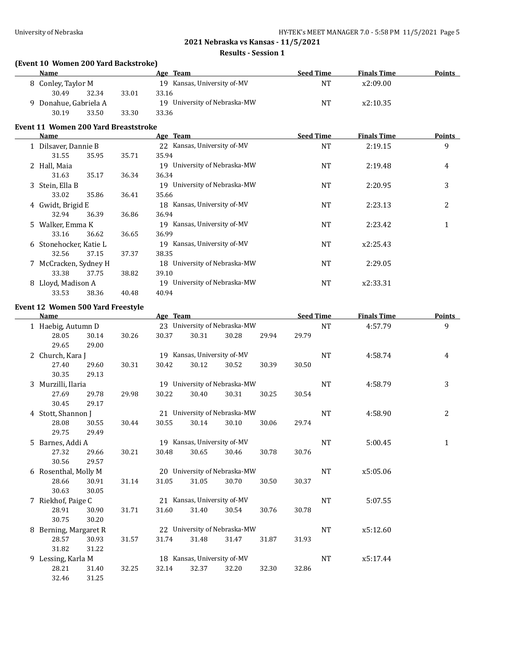#### **Results - Session 1**

## **(Event 10 Women 200 Yard Backstroke)**

| Name               |                     |       | Age Team                        | <b>Seed Time</b> | <b>Finals Time</b> | <b>Points</b> |
|--------------------|---------------------|-------|---------------------------------|------------------|--------------------|---------------|
| 8 Conley, Taylor M |                     |       | Kansas, University of-MV<br>19. | NT               | x2:09.00           |               |
| 30.49              | 32.34               | 33.01 | 33.16                           |                  |                    |               |
|                    | Donahue, Gabriela A |       | 19 University of Nebraska-MW    | NT               | x2:10.35           |               |
| 30.19              | 33.50               | 33.30 | 33.36                           |                  |                    |               |

#### **Event 11 Women 200 Yard Breaststroke**

|   | Name                   |       |       | Age Team                                 | <b>Seed Time</b> | <b>Finals Time</b> | <b>Points</b> |
|---|------------------------|-------|-------|------------------------------------------|------------------|--------------------|---------------|
|   | 1 Dilsaver, Dannie B   |       |       | Kansas, University of-MV<br>$22^{\circ}$ | <b>NT</b>        | 2:19.15            | 9             |
|   | 31.55                  | 35.95 | 35.71 | 35.94                                    |                  |                    |               |
|   | 2 Hall, Maia           |       |       | 19 University of Nebraska-MW             | <b>NT</b>        | 2:19.48            | 4             |
|   | 31.63                  | 35.17 | 36.34 | 36.34                                    |                  |                    |               |
|   | 3 Stein, Ella B        |       |       | 19 University of Nebraska-MW             | <b>NT</b>        | 2:20.95            | 3             |
|   | 33.02                  | 35.86 | 36.41 | 35.66                                    |                  |                    |               |
|   | 4 Gwidt, Brigid E      |       |       | 18 Kansas, University of MV              | <b>NT</b>        | 2:23.13            | 2             |
|   | 32.94                  | 36.39 | 36.86 | 36.94                                    |                  |                    |               |
|   | 5 Walker, Emma K       |       |       | Kansas, University of-MV<br>19           | <b>NT</b>        | 2:23.42            | 1             |
|   | 33.16                  | 36.62 | 36.65 | 36.99                                    |                  |                    |               |
|   | 6 Stonehocker, Katie L |       |       | Kansas, University of-MV<br>19           | <b>NT</b>        | x2:25.43           |               |
|   | 32.56                  | 37.15 | 37.37 | 38.35                                    |                  |                    |               |
|   | 7 McCracken, Sydney H  |       |       | 18 University of Nebraska-MW             | <b>NT</b>        | 2:29.05            |               |
|   | 33.38                  | 37.75 | 38.82 | 39.10                                    |                  |                    |               |
| 8 | Lloyd, Madison A       |       |       | University of Nebraska-MW<br>19          | NT               | x2:33.31           |               |
|   | 33.53                  | 38.36 | 40.48 | 40.94                                    |                  |                    |               |

#### **Event 12 Women 500 Yard Freestyle**

| Name |                    | Age Team              |                             |                              |                             |                              | <b>Seed Time</b> |           | <b>Finals Time</b> | <b>Points</b> |   |
|------|--------------------|-----------------------|-----------------------------|------------------------------|-----------------------------|------------------------------|------------------|-----------|--------------------|---------------|---|
|      | 1 Haebig, Autumn D |                       |                             |                              |                             | 23 University of Nebraska-MW |                  |           | <b>NT</b>          | 4:57.79       | 9 |
|      | 28.05              | 30.14                 | 30.26                       | 30.37                        | 30.31                       | 30.28                        | 29.94            | 29.79     |                    |               |   |
|      | 29.65              | 29.00                 |                             |                              |                             |                              |                  |           |                    |               |   |
|      |                    | 2 Church, Kara J      |                             |                              | 19 Kansas, University of-MV |                              |                  |           | NT                 | 4:58.74       | 4 |
|      | 27.40              | 29.60                 | 30.31                       | 30.42                        | 30.12                       | 30.52                        | 30.39            | 30.50     |                    |               |   |
|      | 30.35              | 29.13                 |                             |                              |                             |                              |                  |           |                    |               |   |
|      | 3 Murzilli, Ilaria |                       |                             |                              |                             | 19 University of Nebraska-MW |                  |           | NT                 | 4:58.79       | 3 |
|      | 27.69              | 29.78                 | 29.98                       | 30.22                        | 30.40                       | 30.31                        | 30.25            | 30.54     |                    |               |   |
|      | 30.45              | 29.17                 |                             |                              |                             |                              |                  |           |                    |               |   |
|      | 4 Stott, Shannon J |                       |                             |                              |                             | 21 University of Nebraska-MW |                  |           | <b>NT</b>          | 4:58.90       | 2 |
|      | 28.08              | 30.55                 | 30.44                       | 30.55                        | 30.14                       | 30.10                        | 30.06            | 29.74     |                    |               |   |
|      | 29.75              | 29.49                 |                             |                              |                             |                              |                  |           |                    |               |   |
| 5.   | Barnes, Addi A     |                       | 19 Kansas, University of-MV |                              |                             |                              |                  | NT        | 5:00.45            | 1             |   |
|      | 27.32              | 29.66                 | 30.21                       | 30.48                        | 30.65                       | 30.46                        | 30.78            | 30.76     |                    |               |   |
|      | 30.56              | 29.57                 |                             |                              |                             |                              |                  |           |                    |               |   |
|      |                    | 6 Rosenthal, Molly M  |                             | 20 University of Nebraska-MW |                             |                              |                  | NT        | x5:05.06           |               |   |
|      | 28.66              | 30.91                 | 31.14                       | 31.05                        | 31.05                       | 30.70                        | 30.50            | 30.37     |                    |               |   |
|      | 30.63              | 30.05                 |                             |                              |                             |                              |                  |           |                    |               |   |
|      | 7 Riekhof, Paige C |                       |                             |                              | 21 Kansas, University of-MV |                              |                  | <b>NT</b> | 5:07.55            |               |   |
|      | 28.91              | 30.90                 | 31.71                       | 31.60                        | 31.40                       | 30.54                        | 30.76            | 30.78     |                    |               |   |
|      | 30.75              | 30.20                 |                             |                              |                             |                              |                  |           |                    |               |   |
|      |                    | 8 Berning, Margaret R |                             | 22 University of Nebraska-MW |                             |                              |                  |           | <b>NT</b>          | x5:12.60      |   |
|      | 28.57              | 30.93                 | 31.57                       | 31.74                        | 31.48                       | 31.47                        | 31.87            | 31.93     |                    |               |   |
|      | 31.82              | 31.22                 |                             |                              |                             |                              |                  |           |                    |               |   |
|      |                    | 9 Lessing, Karla M    |                             |                              | 18 Kansas, University of-MV |                              |                  |           | NT                 | x5:17.44      |   |
|      | 28.21              | 31.40                 | 32.25                       | 32.14                        | 32.37                       | 32.20                        | 32.30            | 32.86     |                    |               |   |
|      | 32.46              | 31.25                 |                             |                              |                             |                              |                  |           |                    |               |   |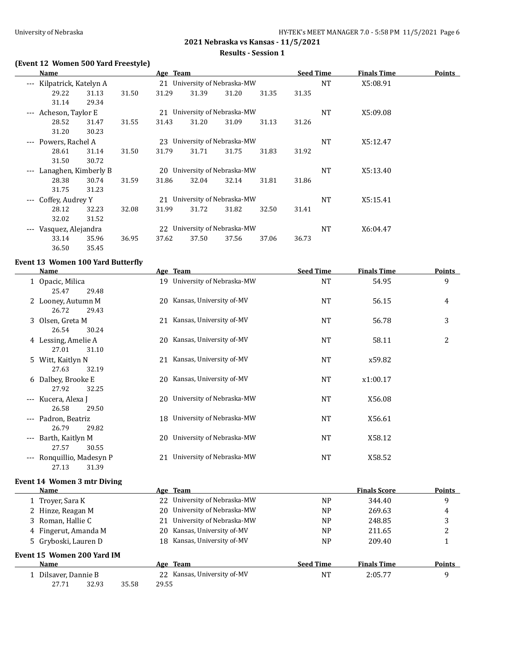# **2021 Nebraska vs Kansas - 11/5/2021 Results - Session 1**

## **(Event 12 Women 500 Yard Freestyle)**

| Name                                         |       |       | Age Team                         |       |                              |       | <b>Seed Time</b> |           | <b>Finals Time</b> | Points |
|----------------------------------------------|-------|-------|----------------------------------|-------|------------------------------|-------|------------------|-----------|--------------------|--------|
| Kilpatrick, Katelyn A<br>$\qquad \qquad - -$ |       |       |                                  |       | 21 University of Nebraska-MW |       |                  | <b>NT</b> | X5:08.91           |        |
| 29.22                                        | 31.13 | 31.50 | 31.29                            | 31.39 | 31.20                        | 31.35 | 31.35            |           |                    |        |
| 31.14                                        | 29.34 |       |                                  |       |                              |       |                  |           |                    |        |
| Acheson, Taylor E<br>$\qquad \qquad - -$     |       |       |                                  |       | 21 University of Nebraska-MW |       |                  | <b>NT</b> | X5:09.08           |        |
| 28.52                                        | 31.47 | 31.55 | 31.43                            | 31.20 | 31.09                        | 31.13 | 31.26            |           |                    |        |
| 31.20                                        | 30.23 |       |                                  |       |                              |       |                  |           |                    |        |
| Powers, Rachel A<br>$---$                    |       |       | 23                               |       | University of Nebraska-MW    |       |                  | <b>NT</b> | X5:12.47           |        |
| 28.61                                        | 31.14 | 31.50 | 31.79                            | 31.71 | 31.75                        | 31.83 | 31.92            |           |                    |        |
| 31.50                                        | 30.72 |       |                                  |       |                              |       |                  |           |                    |        |
| Lanaghen, Kimberly B<br>$---$                |       |       | 20                               |       | University of Nebraska-MW    |       |                  | <b>NT</b> | X5:13.40           |        |
| 28.38                                        | 30.74 | 31.59 | 31.86                            | 32.04 | 32.14                        | 31.81 | 31.86            |           |                    |        |
| 31.75                                        | 31.23 |       |                                  |       |                              |       |                  |           |                    |        |
| Coffey, Audrey Y<br>$---$                    |       |       | University of Nebraska-MW<br>2.1 |       |                              |       |                  | <b>NT</b> | X5:15.41           |        |
| 28.12                                        | 32.23 | 32.08 | 31.99                            | 31.72 | 31.82                        | 32.50 | 31.41            |           |                    |        |
| 32.02                                        | 31.52 |       |                                  |       |                              |       |                  |           |                    |        |
| Vasquez, Alejandra<br>$- - -$                |       |       | University of Nebraska-MW<br>22  |       |                              |       |                  |           | X6:04.47           |        |
| 33.14                                        | 35.96 | 36.95 | 37.62                            | 37.50 | 37.56                        | 37.06 | 36.73            |           |                    |        |
| 36.50                                        | 35.45 |       |                                  |       |                              |       |                  |           |                    |        |

# **Event 13 Women 100 Yard Butterfly**

|          | <b>Name</b>                                |     | Age Team                     | <b>Seed Time</b> | <b>Finals Time</b>  | <b>Points</b> |
|----------|--------------------------------------------|-----|------------------------------|------------------|---------------------|---------------|
|          | 1 Opacic, Milica<br>25.47<br>29.48         | 19  | University of Nebraska-MW    | NT               | 54.95               | 9             |
|          | 2 Looney, Autumn M<br>26.72<br>29.43       | 20  | Kansas, University of-MV     | NT               | 56.15               | 4             |
|          | 3 Olsen, Greta M<br>26.54<br>30.24         | 21  | Kansas, University of-MV     | NT               | 56.78               | 3             |
|          | 4 Lessing, Amelie A<br>27.01<br>31.10      | 20  | Kansas, University of-MV     | NT               | 58.11               | 2             |
|          | 5 Witt, Kaitlyn N<br>27.63<br>32.19        | 21  | Kansas, University of-MV     | NT               | x59.82              |               |
|          | 6 Dalbey, Brooke E<br>27.92<br>32.25       | 20. | Kansas, University of-MV     | <b>NT</b>        | x1:00.17            |               |
| ---      | Kucera, Alexa J<br>26.58<br>29.50          | 20  | University of Nebraska-MW    | NT               | X56.08              |               |
| ---      | Padron, Beatriz<br>26.79<br>29.82          |     | 18 University of Nebraska-MW | NT               | X56.61              |               |
| $\cdots$ | Barth, Kaitlyn M<br>27.57<br>30.55         |     | 20 University of Nebraska-MW | NT               | X58.12              |               |
| $---$    | Ronquillio, Madesyn P<br>31.39<br>27.13    | 21  | University of Nebraska-MW    | NT               | X58.52              |               |
|          | <b>Event 14 Women 3 mtr Diving</b><br>Name |     | Age Team                     |                  | <b>Finals Score</b> | <b>Points</b> |
|          | 1 Troyer, Sara K                           |     | 22 University of Nebraska-MW | NP               | 344.40              | 9             |
|          |                                            |     |                              |                  |                     |               |

| 1 Troyer, Sara K           |                | 22 University of Nebraska-MW | <b>NP</b>        | 344.40             | 9      |
|----------------------------|----------------|------------------------------|------------------|--------------------|--------|
| 2 Hinze, Reagan M          | 20.            | University of Nebraska-MW    | N <sub>P</sub>   | 269.63             | 4      |
| 3 Roman, Hallie C          | 21             | University of Nebraska-MW    | <b>NP</b>        | 248.85             | 3      |
| 4 Fingerut, Amanda M       | 20.            | Kansas, University of-MV     | N <sub>P</sub>   | 211.65             | 2      |
| 5 Gryboski, Lauren D       |                | 18 Kansas, University of-MV  | N <sub>P</sub>   | 209.40             |        |
| Event 15 Women 200 Yard IM |                |                              |                  |                    |        |
| Name                       |                | Age Team                     | <b>Seed Time</b> | <b>Finals Time</b> | Points |
| 1 Dilsaver, Dannie B       |                | 22 Kansas, University of-MV  | NT               | 2:05.77            | 9      |
| 32.93<br>27.71             | 35.58<br>29.55 |                              |                  |                    |        |